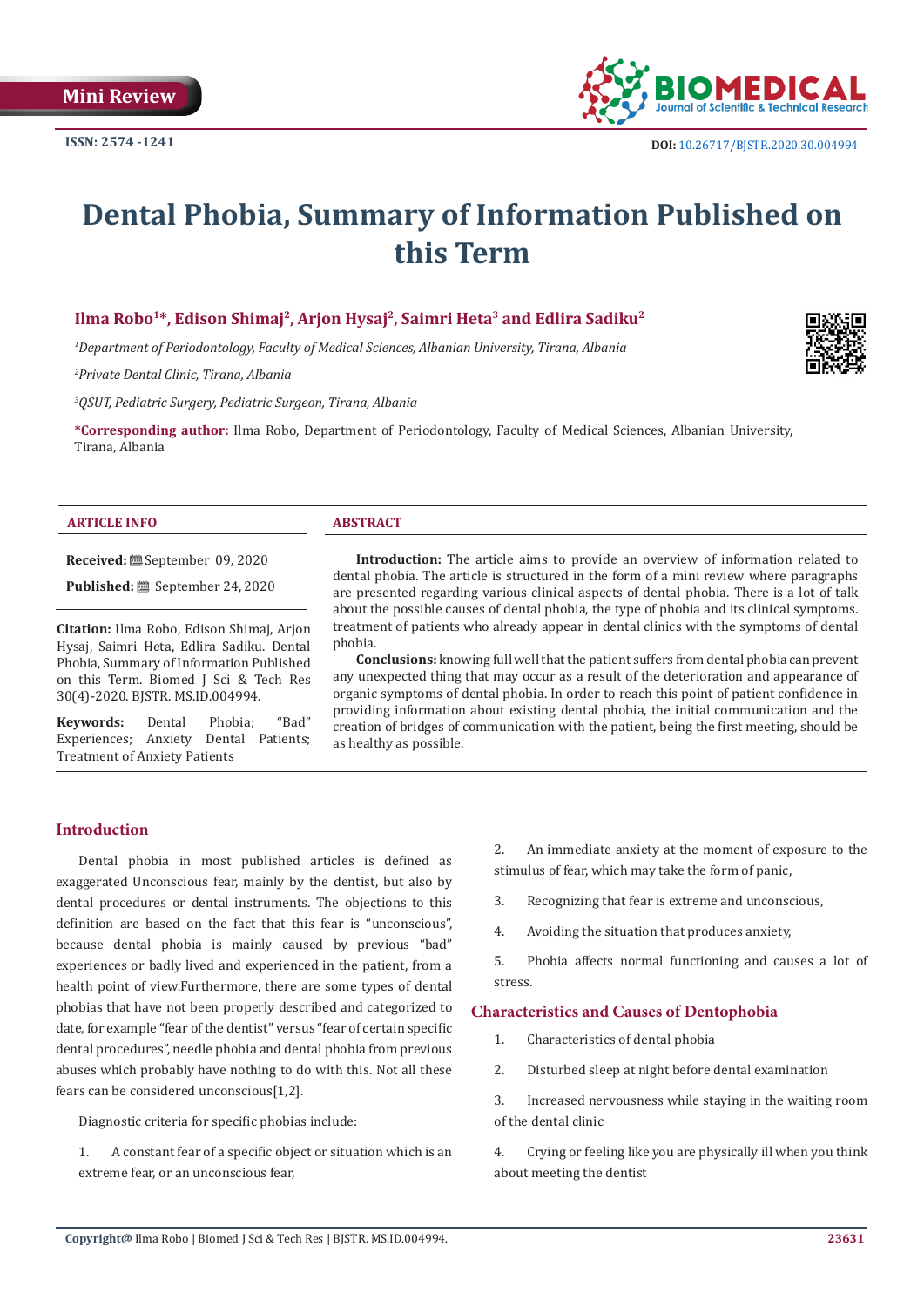

# **Dental Phobia, Summary of Information Published on this Term**

# **Ilma Robo1\*, Edison Shimaj2, Arjon Hysaj2, Saimri Heta3 and Edlira Sadiku2**

*1 Department of Periodontology, Faculty of Medical Sciences, Albanian University, Tirana, Albania*

*2 Private Dental Clinic, Tirana, Albania*

*3 QSUT, Pediatric Surgery, Pediatric Surgeon, Tirana, Albania*

**\*Corresponding author:** Ilma Robo, Department of Periodontology, Faculty of Medical Sciences, Albanian University, Tirana, Albania

### **ARTICLE INFO ABSTRACT**

**Received:** September 09, 2020

Published: **■** September 24, 2020

**Citation:** Ilma Robo, Edison Shimaj, Arjon Hysaj, Saimri Heta, Edlira Sadiku. Dental Phobia, Summary of Information Published on this Term. Biomed J Sci & Tech Res 30(4)-2020. BJSTR. MS.ID.004994.

**Keywords:** Dental Phobia; "Bad" Experiences; Anxiety Dental Patients; Treatment of Anxiety Patients

**Introduction:** The article aims to provide an overview of information related to dental phobia. The article is structured in the form of a mini review where paragraphs are presented regarding various clinical aspects of dental phobia. There is a lot of talk about the possible causes of dental phobia, the type of phobia and its clinical symptoms. treatment of patients who already appear in dental clinics with the symptoms of dental phobia.

**Conclusions:** knowing full well that the patient suffers from dental phobia can prevent any unexpected thing that may occur as a result of the deterioration and appearance of organic symptoms of dental phobia. In order to reach this point of patient confidence in providing information about existing dental phobia, the initial communication and the creation of bridges of communication with the patient, being the first meeting, should be as healthy as possible.

# **Introduction**

Dental phobia in most published articles is defined as exaggerated Unconscious fear, mainly by the dentist, but also by dental procedures or dental instruments. The objections to this definition are based on the fact that this fear is "unconscious", because dental phobia is mainly caused by previous "bad" experiences or badly lived and experienced in the patient, from a health point of view.Furthermore, there are some types of dental phobias that have not been properly described and categorized to date, for example "fear of the dentist" versus "fear of certain specific dental procedures", needle phobia and dental phobia from previous abuses which probably have nothing to do with this. Not all these fears can be considered unconscious[1,2].

Diagnostic criteria for specific phobias include:

1. A constant fear of a specific object or situation which is an extreme fear, or an unconscious fear,

2. An immediate anxiety at the moment of exposure to the stimulus of fear, which may take the form of panic,

- 3. Recognizing that fear is extreme and unconscious,
- 4. Avoiding the situation that produces anxiety,

5. Phobia affects normal functioning and causes a lot of stress.

# **Characteristics and Causes of Dentophobia**

- 1. Characteristics of dental phobia
- 2. Disturbed sleep at night before dental examination

3. Increased nervousness while staying in the waiting room of the dental clinic

4. Crying or feeling like you are physically ill when you think about meeting the dentist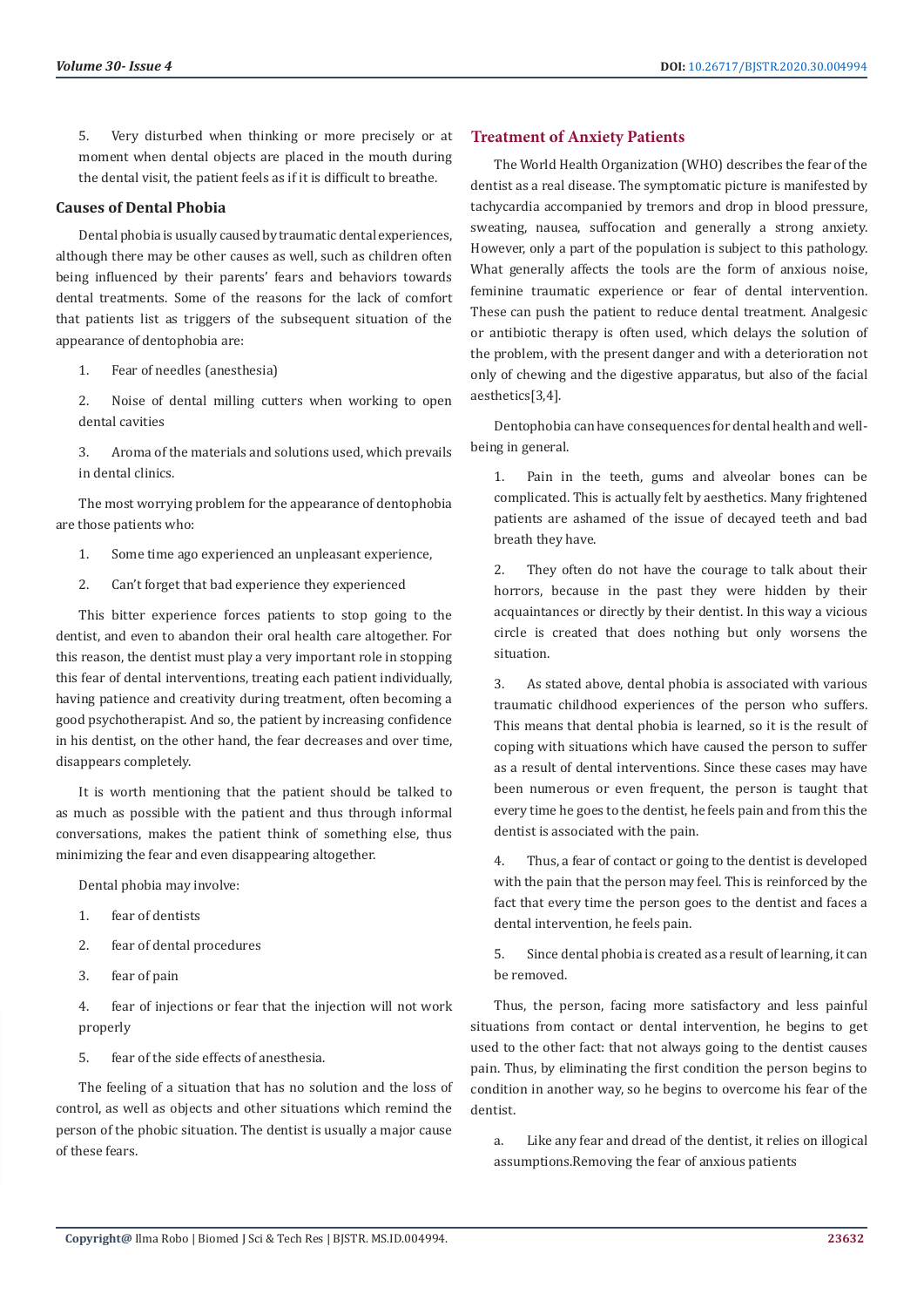5. Very disturbed when thinking or more precisely or at moment when dental objects are placed in the mouth during the dental visit, the patient feels as if it is difficult to breathe.

# **Causes of Dental Phobia**

Dental phobia is usually caused by traumatic dental experiences, although there may be other causes as well, such as children often being influenced by their parents' fears and behaviors towards dental treatments. Some of the reasons for the lack of comfort that patients list as triggers of the subsequent situation of the appearance of dentophobia are:

- 1. Fear of needles (anesthesia)
- 2. Noise of dental milling cutters when working to open dental cavities

3. Aroma of the materials and solutions used, which prevails in dental clinics.

The most worrying problem for the appearance of dentophobia are those patients who:

- 1. Some time ago experienced an unpleasant experience,
- 2. Can't forget that bad experience they experienced

This bitter experience forces patients to stop going to the dentist, and even to abandon their oral health care altogether. For this reason, the dentist must play a very important role in stopping this fear of dental interventions, treating each patient individually, having patience and creativity during treatment, often becoming a good psychotherapist. And so, the patient by increasing confidence in his dentist, on the other hand, the fear decreases and over time, disappears completely.

It is worth mentioning that the patient should be talked to as much as possible with the patient and thus through informal conversations, makes the patient think of something else, thus minimizing the fear and even disappearing altogether.

Dental phobia may involve:

- 1. fear of dentists
- 2. fear of dental procedures
- 3. fear of pain

4. fear of injections or fear that the injection will not work properly

5. fear of the side effects of anesthesia.

The feeling of a situation that has no solution and the loss of control, as well as objects and other situations which remind the person of the phobic situation. The dentist is usually a major cause of these fears.

### **Treatment of Anxiety Patients**

The World Health Organization (WHO) describes the fear of the dentist as a real disease. The symptomatic picture is manifested by tachycardia accompanied by tremors and drop in blood pressure, sweating, nausea, suffocation and generally a strong anxiety. However, only a part of the population is subject to this pathology. What generally affects the tools are the form of anxious noise, feminine traumatic experience or fear of dental intervention. These can push the patient to reduce dental treatment. Analgesic or antibiotic therapy is often used, which delays the solution of the problem, with the present danger and with a deterioration not only of chewing and the digestive apparatus, but also of the facial aesthetics[3,4].

Dentophobia can have consequences for dental health and wellbeing in general.

1. Pain in the teeth, gums and alveolar bones can be complicated. This is actually felt by aesthetics. Many frightened patients are ashamed of the issue of decayed teeth and bad breath they have.

2. They often do not have the courage to talk about their horrors, because in the past they were hidden by their acquaintances or directly by their dentist. In this way a vicious circle is created that does nothing but only worsens the situation.

3. As stated above, dental phobia is associated with various traumatic childhood experiences of the person who suffers. This means that dental phobia is learned, so it is the result of coping with situations which have caused the person to suffer as a result of dental interventions. Since these cases may have been numerous or even frequent, the person is taught that every time he goes to the dentist, he feels pain and from this the dentist is associated with the pain.

4. Thus, a fear of contact or going to the dentist is developed with the pain that the person may feel. This is reinforced by the fact that every time the person goes to the dentist and faces a dental intervention, he feels pain.

5. Since dental phobia is created as a result of learning, it can be removed.

Thus, the person, facing more satisfactory and less painful situations from contact or dental intervention, he begins to get used to the other fact: that not always going to the dentist causes pain. Thus, by eliminating the first condition the person begins to condition in another way, so he begins to overcome his fear of the dentist.

a. Like any fear and dread of the dentist, it relies on illogical assumptions.Removing the fear of anxious patients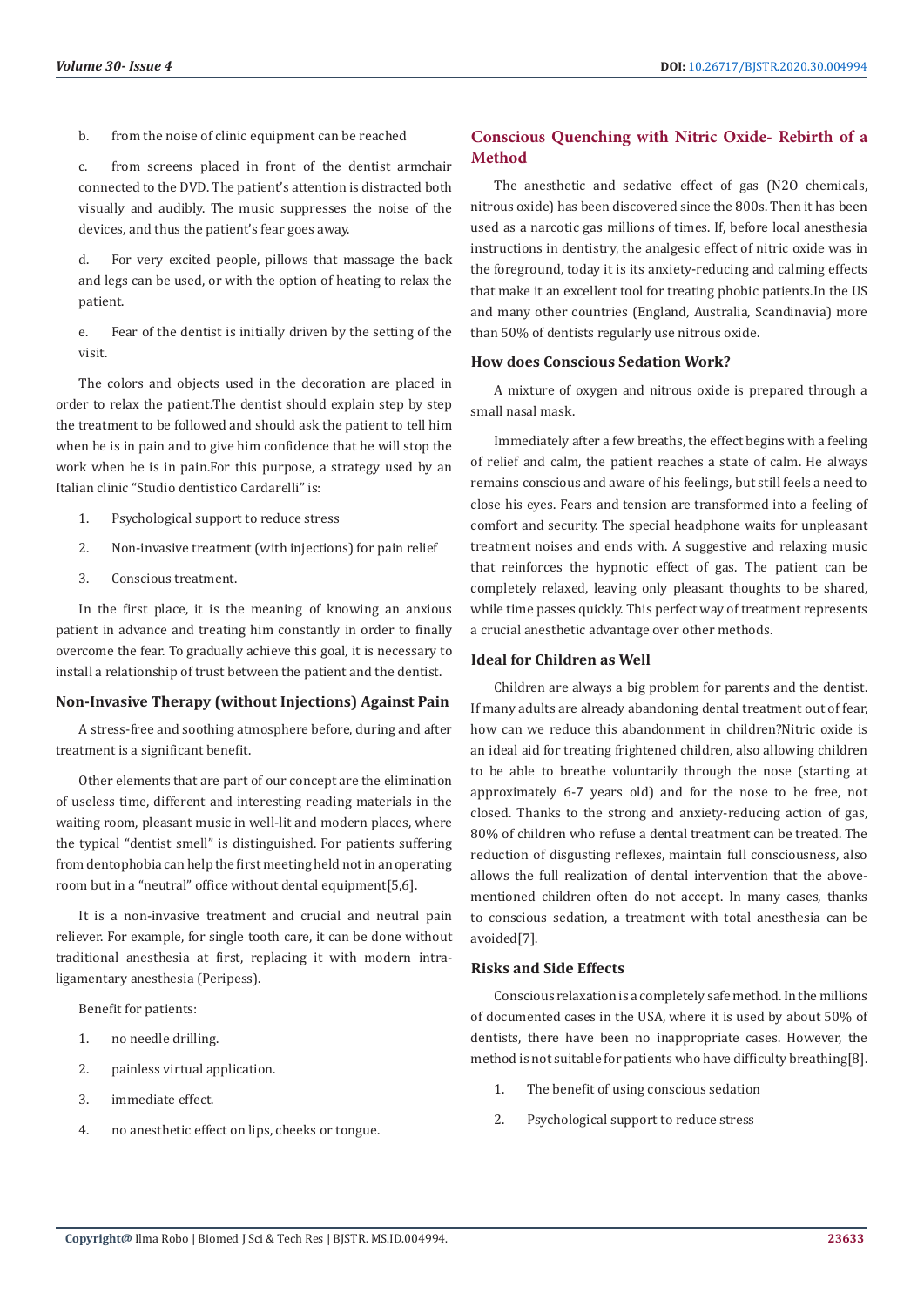b. from the noise of clinic equipment can be reached

c. from screens placed in front of the dentist armchair connected to the DVD. The patient's attention is distracted both visually and audibly. The music suppresses the noise of the devices, and thus the patient's fear goes away.

d. For very excited people, pillows that massage the back and legs can be used, or with the option of heating to relax the patient.

e. Fear of the dentist is initially driven by the setting of the visit.

The colors and objects used in the decoration are placed in order to relax the patient.The dentist should explain step by step the treatment to be followed and should ask the patient to tell him when he is in pain and to give him confidence that he will stop the work when he is in pain.For this purpose, a strategy used by an Italian clinic "Studio dentistico Cardarelli" is:

- 1. Psychological support to reduce stress
- 2. Non-invasive treatment (with injections) for pain relief
- 3. Conscious treatment.

In the first place, it is the meaning of knowing an anxious patient in advance and treating him constantly in order to finally overcome the fear. To gradually achieve this goal, it is necessary to install a relationship of trust between the patient and the dentist.

#### **Non-Invasive Therapy (without Injections) Against Pain**

A stress-free and soothing atmosphere before, during and after treatment is a significant benefit.

Other elements that are part of our concept are the elimination of useless time, different and interesting reading materials in the waiting room, pleasant music in well-lit and modern places, where the typical "dentist smell" is distinguished. For patients suffering from dentophobia can help the first meeting held not in an operating room but in a "neutral" office without dental equipment[5,6].

It is a non-invasive treatment and crucial and neutral pain reliever. For example, for single tooth care, it can be done without traditional anesthesia at first, replacing it with modern intraligamentary anesthesia (Peripess).

Benefit for patients:

- 1. no needle drilling.
- 2. painless virtual application.
- 3. immediate effect.
- 4. no anesthetic effect on lips, cheeks or tongue.

# **Conscious Quenching with Nitric Oxide- Rebirth of a Method**

The anesthetic and sedative effect of gas (N2O chemicals, nitrous oxide) has been discovered since the 800s. Then it has been used as a narcotic gas millions of times. If, before local anesthesia instructions in dentistry, the analgesic effect of nitric oxide was in the foreground, today it is its anxiety-reducing and calming effects that make it an excellent tool for treating phobic patients.In the US and many other countries (England, Australia, Scandinavia) more than 50% of dentists regularly use nitrous oxide.

#### **How does Conscious Sedation Work?**

A mixture of oxygen and nitrous oxide is prepared through a small nasal mask.

Immediately after a few breaths, the effect begins with a feeling of relief and calm, the patient reaches a state of calm. He always remains conscious and aware of his feelings, but still feels a need to close his eyes. Fears and tension are transformed into a feeling of comfort and security. The special headphone waits for unpleasant treatment noises and ends with. A suggestive and relaxing music that reinforces the hypnotic effect of gas. The patient can be completely relaxed, leaving only pleasant thoughts to be shared, while time passes quickly. This perfect way of treatment represents a crucial anesthetic advantage over other methods.

# **Ideal for Children as Well**

Children are always a big problem for parents and the dentist. If many adults are already abandoning dental treatment out of fear, how can we reduce this abandonment in children?Nitric oxide is an ideal aid for treating frightened children, also allowing children to be able to breathe voluntarily through the nose (starting at approximately 6-7 years old) and for the nose to be free, not closed. Thanks to the strong and anxiety-reducing action of gas, 80% of children who refuse a dental treatment can be treated. The reduction of disgusting reflexes, maintain full consciousness, also allows the full realization of dental intervention that the abovementioned children often do not accept. In many cases, thanks to conscious sedation, a treatment with total anesthesia can be avoided[7].

# **Risks and Side Effects**

Conscious relaxation is a completely safe method. In the millions of documented cases in the USA, where it is used by about 50% of dentists, there have been no inappropriate cases. However, the method is not suitable for patients who have difficulty breathing[8].

- 1. The benefit of using conscious sedation
- 2. Psychological support to reduce stress